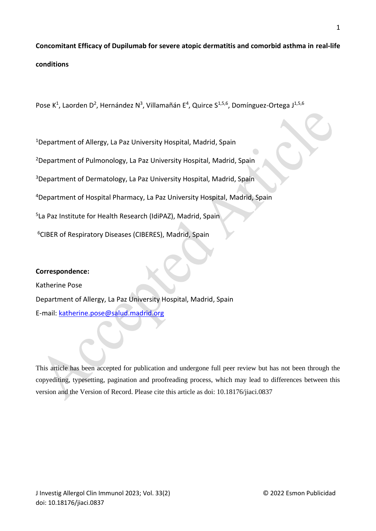# **Concomitant Efficacy of Dupilumab for severe atopic dermatitis and comorbid asthma in real-life conditions**

Pose K<sup>1</sup>, Laorden D<sup>2</sup>, Hernández N<sup>3</sup>, Villamañán E<sup>4</sup>, Quirce S<sup>1,5,6</sup>, Domínguez-Ortega J<sup>1,5,6</sup>

<sup>1</sup>Department of Allergy, La Paz University Hospital, Madrid, Spain

<sup>2</sup>Department of Pulmonology, La Paz University Hospital, Madrid, Spain

<sup>3</sup>Department of Dermatology, La Paz University Hospital, Madrid, Spain

<sup>4</sup>Department of Hospital Pharmacy, La Paz University Hospital, Madrid, Spain

5 La Paz Institute for Health Research (IdiPAZ), Madrid, Spain

<sup>6</sup>CIBER of Respiratory Diseases (CIBERES), Madrid, Spain

## **Correspondence:**

Katherine Pose Department of Allergy, La Paz University Hospital, Madrid, Spain E-mail: [katherine.pose@salud.madrid.org](mailto:katherine.pose@salud.madrid.org)

This article has been accepted for publication and undergone full peer review but has not been through the copyediting, typesetting, pagination and proofreading process, which may lead to differences between this version and the Version of Record. Please cite this article as doi: 10.18176/jiaci.0837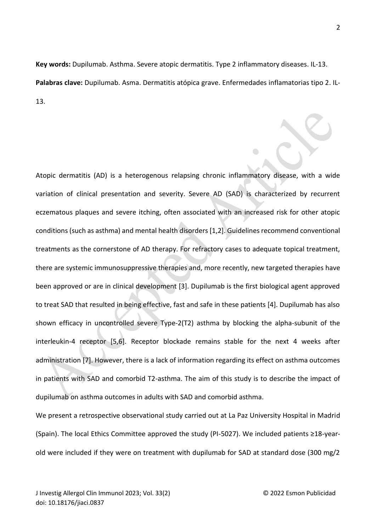**Key words:** Dupilumab. Asthma. Severe atopic dermatitis. Type 2 inflammatory diseases. IL-13. **Palabras clave:** Dupilumab. Asma. Dermatitis atópica grave. Enfermedades inflamatorias tipo 2. IL-13.

Atopic dermatitis (AD) is a heterogenous relapsing chronic inflammatory disease, with a wide variation of clinical presentation and severity. Severe AD (SAD) is characterized by recurrent eczematous plaques and severe itching, often associated with an increased risk for other atopic conditions (such as asthma) and mental health disorders [1,2]. Guidelines recommend conventional treatments as the cornerstone of AD therapy. For refractory cases to adequate topical treatment, there are systemic immunosuppressive therapies and, more recently, new targeted therapies have been approved or are in clinical development [3]. Dupilumab is the first biological agent approved to treat SAD that resulted in being effective, fast and safe in these patients [4]. Dupilumab has also shown efficacy in uncontrolled severe Type-2(T2) asthma by blocking the alpha-subunit of the interleukin-4 receptor [5,6]. Receptor blockade remains stable for the next 4 weeks after administration [7]. However, there is a lack of information regarding its effect on asthma outcomes in patients with SAD and comorbid T2-asthma. The aim of this study is to describe the impact of dupilumab on asthma outcomes in adults with SAD and comorbid asthma.

We present a retrospective observational study carried out at La Paz University Hospital in Madrid (Spain). The local Ethics Committee approved the study (PI-5027). We included patients ≥18-yearold were included if they were on treatment with dupilumab for SAD at standard dose (300 mg/2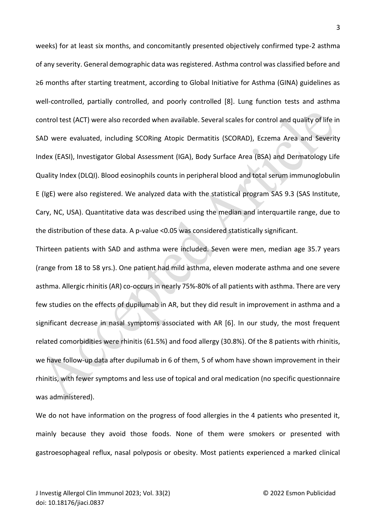weeks) for at least six months, and concomitantly presented objectively confirmed type-2 asthma of any severity. General demographic data was registered. Asthma control was classified before and ≥6 months after starting treatment, according to Global Initiative for Asthma (GINA) guidelines as well-controlled, partially controlled, and poorly controlled [8]. Lung function tests and asthma control test (ACT) were also recorded when available. Several scales for control and quality of life in SAD were evaluated, including SCORing Atopic Dermatitis (SCORAD), Eczema Area and Severity Index (EASI), Investigator Global Assessment (IGA), Body Surface Area (BSA) and Dermatology Life Quality Index (DLQI). Blood eosinophils counts in peripheral blood and total serum immunoglobulin E (IgE) were also registered. We analyzed data with the statistical program SAS 9.3 (SAS Institute, Cary, NC, USA). Quantitative data was described using the median and interquartile range, due to the distribution of these data. A p-value <0.05 was considered statistically significant.

Thirteen patients with SAD and asthma were included. Seven were men, median age 35.7 years (range from 18 to 58 yrs.). One patient had mild asthma, eleven moderate asthma and one severe asthma. Allergic rhinitis (AR) co-occurs in nearly 75%-80% of all patients with asthma. There are very few studies on the effects of dupilumab in AR, but they did result in improvement in asthma and a significant decrease in nasal symptoms associated with AR [6]. In our study, the most frequent related comorbidities were rhinitis (61.5%) and food allergy (30.8%). Of the 8 patients with rhinitis, we have follow-up data after dupilumab in 6 of them, 5 of whom have shown improvement in their rhinitis, with fewer symptoms and less use of topical and oral medication (no specific questionnaire was administered).

We do not have information on the progress of food allergies in the 4 patients who presented it, mainly because they avoid those foods. None of them were smokers or presented with gastroesophageal reflux, nasal polyposis or obesity. Most patients experienced a marked clinical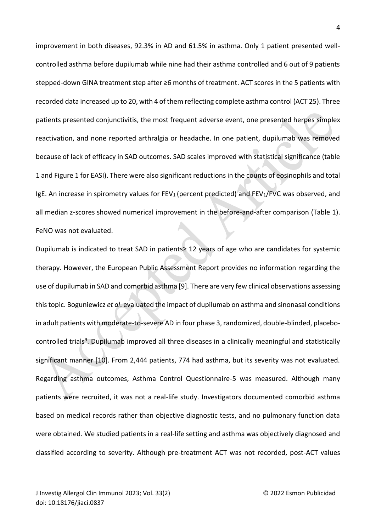improvement in both diseases, 92.3% in AD and 61.5% in asthma. Only 1 patient presented wellcontrolled asthma before dupilumab while nine had their asthma controlled and 6 out of 9 patients stepped-down GINA treatment step after ≥6 months of treatment. ACT scores in the 5 patients with recorded data increased up to 20, with 4 of them reflecting complete asthma control (ACT 25). Three patients presented conjunctivitis, the most frequent adverse event, one presented herpes simplex reactivation, and none reported arthralgia or headache. In one patient, dupilumab was removed because of lack of efficacy in SAD outcomes. SAD scales improved with statistical significance (table 1 and Figure 1 for EASI). There were also significant reductions in the counts of eosinophils and total IgE. An increase in spirometry values for FEV<sub>1</sub> (percent predicted) and FEV<sub>1</sub>/FVC was observed, and all median z-scores showed numerical improvement in the before-and-after comparison (Table 1). FeNO was not evaluated.

Dupilumab is indicated to treat SAD in patients≥ 12 years of age who are candidates for systemic therapy. However, the European Public Assessment Report provides no information regarding the use of dupilumab in SAD and comorbid asthma [9]. There are very few clinical observations assessing this topic. Boguniewicz *et al*. evaluated the impact of dupilumab on asthma and sinonasal conditions in adult patients with moderate-to-severe AD in four phase 3, randomized, double-blinded, placebocontrolled trials<sup>9</sup>. Dupilumab improved all three diseases in a clinically meaningful and statistically significant manner [10]. From 2,444 patients, 774 had asthma, but its severity was not evaluated. Regarding asthma outcomes, Asthma Control Questionnaire-5 was measured. Although many patients were recruited, it was not a real-life study. Investigators documented comorbid asthma based on medical records rather than objective diagnostic tests, and no pulmonary function data were obtained. We studied patients in a real-life setting and asthma was objectively diagnosed and classified according to severity. Although pre-treatment ACT was not recorded, post-ACT values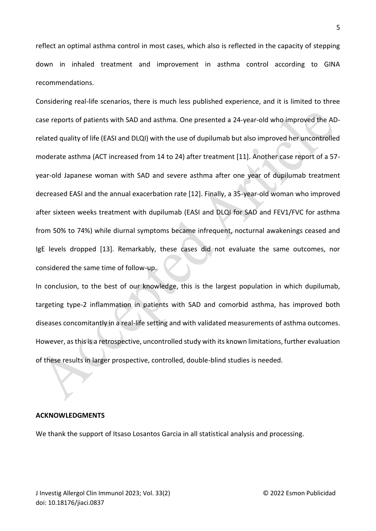reflect an optimal asthma control in most cases, which also is reflected in the capacity of stepping down in inhaled treatment and improvement in asthma control according to GINA recommendations.

Considering real-life scenarios, there is much less published experience, and it is limited to three case reports of patients with SAD and asthma. One presented a 24-year-old who improved the ADrelated quality of life (EASI and DLQI) with the use of dupilumab but also improved her uncontrolled moderate asthma (ACT increased from 14 to 24) after treatment [11]. Another case report of a 57 year-old Japanese woman with SAD and severe asthma after one year of dupilumab treatment decreased EASI and the annual exacerbation rate [12]. Finally, a 35-year-old woman who improved after sixteen weeks treatment with dupilumab (EASI and DLQI for SAD and FEV1/FVC for asthma from 50% to 74%) while diurnal symptoms became infrequent, nocturnal awakenings ceased and IgE levels dropped [13]. Remarkably, these cases did not evaluate the same outcomes, nor considered the same time of follow-up.

In conclusion, to the best of our knowledge, this is the largest population in which dupilumab, targeting type-2 inflammation in patients with SAD and comorbid asthma, has improved both diseases concomitantly in a real-life setting and with validated measurements of asthma outcomes. However, as this is a retrospective, uncontrolled study with its known limitations, further evaluation of these results in larger prospective, controlled, double-blind studies is needed.

#### **ACKNOWLEDGMENTS**

We thank the support of Itsaso Losantos Garcia in all statistical analysis and processing.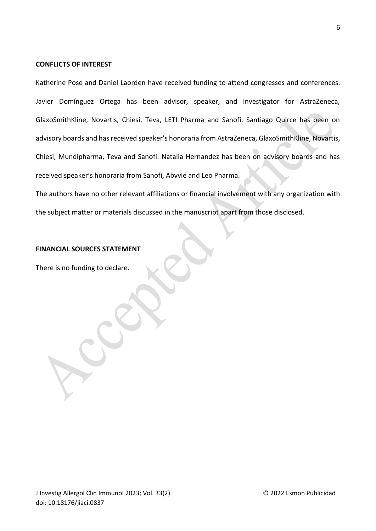### **CONFLICTS OF INTEREST**

Katherine Pose and Daniel Laorden have received funding to attend congresses and conferences. Javier Domínguez Ortega has been advisor, speaker, and investigator for AstraZeneca, GlaxoSmithKline, Novartis, Chiesi, Teva, LETI Pharma and Sanofi. Santiago Quirce has been on advisory boards and has received speaker's honoraria from AstraZeneca, GlaxoSmithKline, Novartis, Chiesi, Mundipharma, Teva and Sanofi. Natalia Hernandez has been on advisory boards and has received speaker's honoraria from Sanofi, Abvvie and Leo Pharma.

The authors have no other relevant affiliations or financial involvement with any organization with the subject matter or materials discussed in the manuscript apart from those disclosed.

### **FINANCIAL SOURCES STATEMENT**

There is no funding to declare.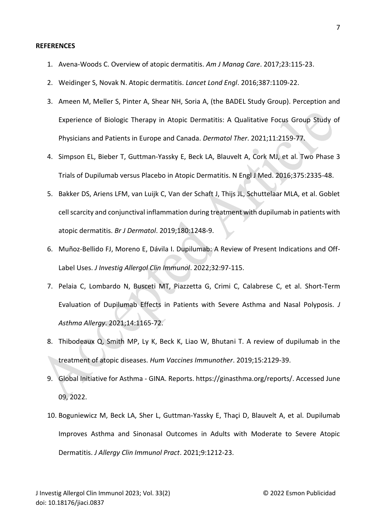### **REFERENCES**

- 1. Avena-Woods C. Overview of atopic dermatitis. *Am J Manag Care*. 2017;23:115-23.
- 2. Weidinger S, Novak N. Atopic dermatitis. *Lancet Lond Engl*. 2016;387:1109-22.
- 3. Ameen M, Meller S, Pinter A, Shear NH, Soria A, (the BADEL Study Group). Perception and Experience of Biologic Therapy in Atopic Dermatitis: A Qualitative Focus Group Study of Physicians and Patients in Europe and Canada. *Dermatol Ther*. 2021;11:2159-77.
- 4. Simpson EL, Bieber T, Guttman-Yassky E, Beck LA, Blauvelt A, Cork MJ, et al. Two Phase 3 Trials of Dupilumab versus Placebo in Atopic Dermatitis. N Engl J Med. 2016;375:2335-48.
- 5. Bakker DS, Ariens LFM, van Luijk C, Van der Schaft J, Thijs JL, Schuttelaar MLA, et al. Goblet cell scarcity and conjunctival inflammation during treatment with dupilumab in patients with atopic dermatitis. *Br J Dermatol*. 2019;180:1248-9.
- 6. Muñoz-Bellido FJ, Moreno E, Dávila I. Dupilumab: A Review of Present Indications and Off-Label Uses. *J Investig Allergol Clin Immunol*. 2022;32:97-115.
- 7. Pelaia C, Lombardo N, Busceti MT, Piazzetta G, Crimi C, Calabrese C, et al. Short-Term Evaluation of Dupilumab Effects in Patients with Severe Asthma and Nasal Polyposis. *J Asthma Allergy*. 2021;14:1165-72.
- 8. Thibodeaux Q, Smith MP, Ly K, Beck K, Liao W, Bhutani T. A review of dupilumab in the treatment of atopic diseases. *Hum Vaccines Immunother*. 2019;15:2129-39.
- 9. Global Initiative for Asthma GINA. Reports. [https://ginasthma.org/reports/.](https://ginasthma.org/reports/) Accessed June 09, 2022.
- 10. Boguniewicz M, Beck LA, Sher L, Guttman-Yassky E, Thaçi D, Blauvelt A, et al. Dupilumab Improves Asthma and Sinonasal Outcomes in Adults with Moderate to Severe Atopic Dermatitis. *J Allergy Clin Immunol Pract*. 2021;9:1212-23.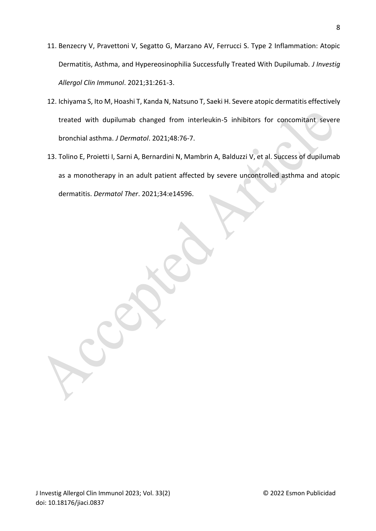- 11. Benzecry V, Pravettoni V, Segatto G, Marzano AV, Ferrucci S. Type 2 Inflammation: Atopic Dermatitis, Asthma, and Hypereosinophilia Successfully Treated With Dupilumab. *J Investig Allergol Clin Immunol*. 2021;31:261-3.
- 12. Ichiyama S, Ito M, Hoashi T, Kanda N, Natsuno T, Saeki H. Severe atopic dermatitis effectively treated with dupilumab changed from interleukin-5 inhibitors for concomitant severe bronchial asthma. *J Dermatol*. 2021;48:76-7.
- 13. Tolino E, Proietti I, Sarni A, Bernardini N, Mambrin A, Balduzzi V, et al. Success of dupilumab as a monotherapy in an adult patient affected by severe uncontrolled asthma and atopic dermatitis. *Dermatol Ther*. 2021;34:e14596.

J Investig Allergol Clin Immunol 2023; Vol. 33(2) © 2022 Esmon Publicidad doi: 10.18176/jiaci.0837